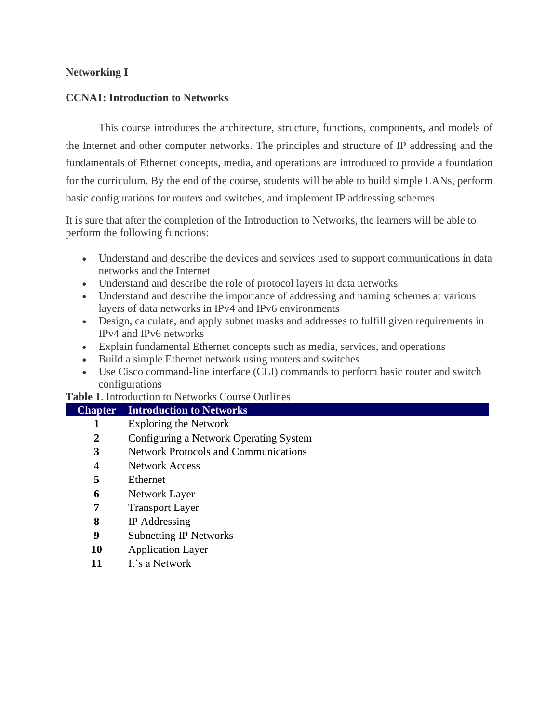### **Networking I**

### **CCNA1: Introduction to Networks**

This course introduces the architecture, structure, functions, components, and models of the Internet and other computer networks. The principles and structure of IP addressing and the fundamentals of Ethernet concepts, media, and operations are introduced to provide a foundation for the curriculum. By the end of the course, students will be able to build simple LANs, perform basic configurations for routers and switches, and implement IP addressing schemes.

It is sure that after the completion of the Introduction to Networks, the learners will be able to perform the following functions:

- Understand and describe the devices and services used to support communications in data networks and the Internet
- Understand and describe the role of protocol layers in data networks
- Understand and describe the importance of addressing and naming schemes at various layers of data networks in IPv4 and IPv6 environments
- Design, calculate, and apply subnet masks and addresses to fulfill given requirements in IPv4 and IPv6 networks
- Explain fundamental Ethernet concepts such as media, services, and operations
- Build a simple Ethernet network using routers and switches
- Use Cisco command-line interface (CLI) commands to perform basic router and switch configurations

**Table 1**. Introduction to Networks Course Outlines

| <b>Chapter</b> | <b>Introduction to Networks</b>             |
|----------------|---------------------------------------------|
|                | <b>Exploring the Network</b>                |
| 2              | Configuring a Network Operating System      |
| 3              | <b>Network Protocols and Communications</b> |
| 4              | <b>Network Access</b>                       |
| 5              | Ethernet                                    |
| 6              | Network Layer                               |
| 7              | <b>Transport Layer</b>                      |
| 8              | IP Addressing                               |
| 9              | <b>Subnetting IP Networks</b>               |
| 10             | <b>Application Layer</b>                    |
| 11             | It's a Network                              |
|                |                                             |
|                |                                             |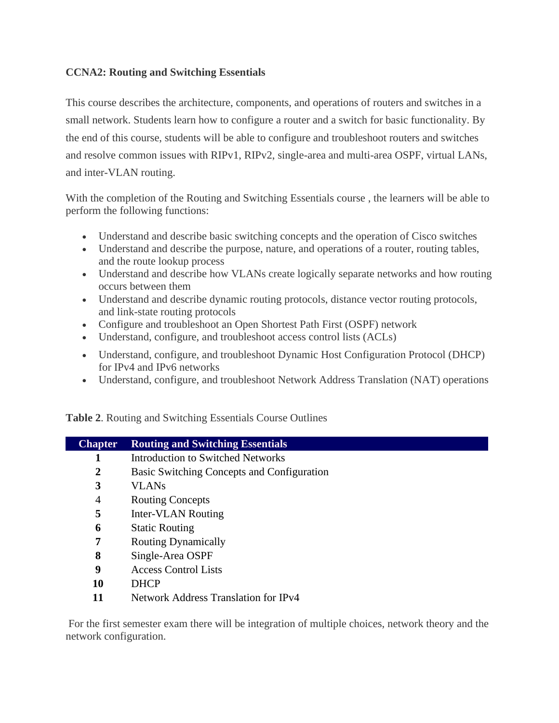# **CCNA2: Routing and Switching Essentials**

This course describes the architecture, components, and operations of routers and switches in a small network. Students learn how to configure a router and a switch for basic functionality. By the end of this course, students will be able to configure and troubleshoot routers and switches and resolve common issues with RIPv1, RIPv2, single-area and multi-area OSPF, virtual LANs, and inter-VLAN routing.

With the completion of the Routing and Switching Essentials course , the learners will be able to perform the following functions:

- Understand and describe basic switching concepts and the operation of Cisco switches
- Understand and describe the purpose, nature, and operations of a router, routing tables, and the route lookup process
- Understand and describe how VLANs create logically separate networks and how routing occurs between them
- Understand and describe dynamic routing protocols, distance vector routing protocols, and link-state routing protocols
- Configure and troubleshoot an Open Shortest Path First (OSPF) network
- Understand, configure, and troubleshoot access control lists (ACLs)
- Understand, configure, and troubleshoot Dynamic Host Configuration Protocol (DHCP) for IPv4 and IPv6 networks
- Understand, configure, and troubleshoot Network Address Translation (NAT) operations

**Table 2**. Routing and Switching Essentials Course Outlines

| <b>Chapter</b> | <b>Routing and Switching Essentials</b>     |
|----------------|---------------------------------------------|
|                | <b>Introduction to Switched Networks</b>    |
| 2              | Basic Switching Concepts and Configuration  |
| 3              | <b>VLANs</b>                                |
| $\overline{4}$ | <b>Routing Concepts</b>                     |
| 5              | Inter-VLAN Routing                          |
| 6              | <b>Static Routing</b>                       |
| 7              | <b>Routing Dynamically</b>                  |
| 8              | Single-Area OSPF                            |
| 9              | <b>Access Control Lists</b>                 |
| 10             | <b>DHCP</b>                                 |
| 11             | <b>Network Address Translation for IPv4</b> |
|                |                                             |

For the first semester exam there will be integration of multiple choices, network theory and the network configuration.